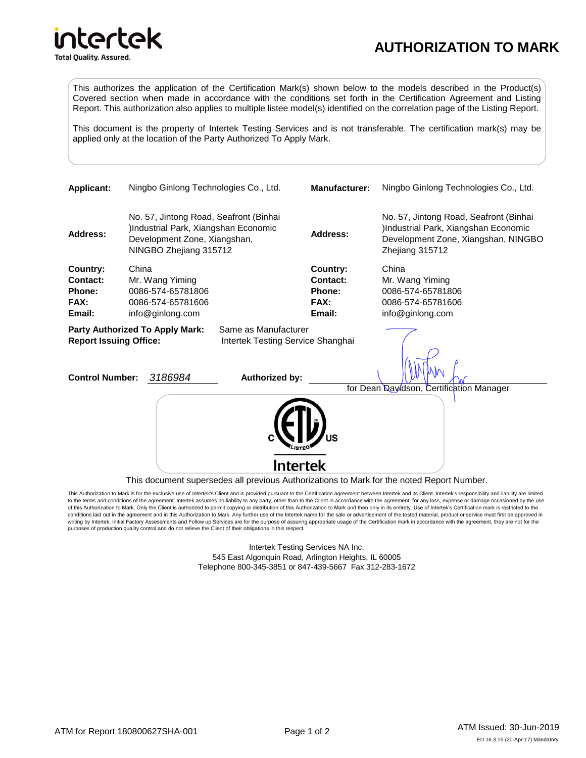## **AUTHORIZATION TO MARK**

**Total Quality. Assured.** 

**ntertek** 

Ir

This authorizes the application of the Certification Mark(s) shown below to the models described in the Product(s) Covered section when made in accordance with the conditions set forth in the Certification Agreement and Listing Report. This authorization also applies to multiple listee model(s) identified on the correlation page of the Listing Report.

This document is the property of Intertek Testing Services and is not transferable. The certification mark(s) may be applied only at the location of the Party Authorized To Apply Mark.



This Authorization to Mark is for the exclusive use of Intertek's Client and is provided pursuant to the Certification agreement between Intertek and its Client. Intertek's responsibility and liability are limited to the terms and conditions of the agreement. Intertek assumes no liability to any party, other than to the Client in accordance with the agreement, for any loss, expense or damage occasioned by the use of this Authorization to Mark. Only the Client is authorized to permit copying or distribution of this Authorization to Mark and then only in its entirety. Use of Intertek's Certification mark is restricted to the conditions laid out in the agreement and in this Authorization to Mark. Any further use of the Intertek name for the sale or advertisement of the tested material, product or service must first be approved in writing by Intertek. Initial Factory Assessments and Follow up Services are for the purpose of assuring appropriate usage of the Certification mark in accordance with the agreement, they are not for the purposes of production quality control and do not relieve the Client of their obligations in this respect.

> Intertek Testing Services NA Inc. 545 East Algonquin Road, Arlington Heights, IL 60005 Telephone 800-345-3851 or 847-439-5667 Fax 312-283-1672